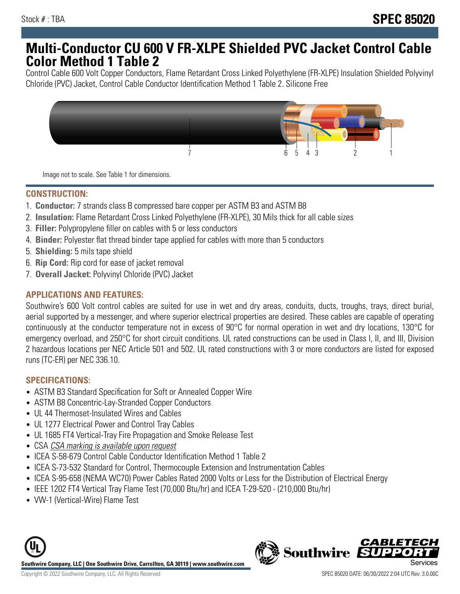# **Multi-Conductor CU 600 V FR-XLPE Shielded PVC Jacket Control Cable Color Method 1 Table 2**

Control Cable 600 Volt Copper Conductors, Flame Retardant Cross Linked Polyethylene (FR-XLPE) Insulation Shielded Polyvinyl Chloride (PVC) Jacket, Control Cable Conductor Identification Method 1 Table 2. Silicone Free



Image not to scale. See Table 1 for dimensions.

# **CONSTRUCTION:**

- 1. **Conductor:** 7 strands class B compressed bare copper per ASTM B3 and ASTM B8
- 2. **Insulation:** Flame Retardant Cross Linked Polyethylene (FR-XLPE), 30 Mils thick for all cable sizes
- 3. **Filler:** Polypropylene filler on cables with 5 or less conductors
- 4. **Binder:** Polyester flat thread binder tape applied for cables with more than 5 conductors
- 5. **Shielding:** 5 mils tape shield
- 6. **Rip Cord:** Rip cord for ease of jacket removal
- 7. **Overall Jacket:** Polyvinyl Chloride (PVC) Jacket

### **APPLICATIONS AND FEATURES:**

Southwire's 600 Volt control cables are suited for use in wet and dry areas, conduits, ducts, troughs, trays, direct burial, aerial supported by a messenger, and where superior electrical properties are desired. These cables are capable of operating continuously at the conductor temperature not in excess of 90°C for normal operation in wet and dry locations, 130°C for emergency overload, and 250°C for short circuit conditions. UL rated constructions can be used in Class I, II, and III, Division 2 hazardous locations per NEC Article 501 and 502. UL rated constructions with 3 or more conductors are listed for exposed runs (TC-ER) per NEC 336.10.

## **SPECIFICATIONS:**

- ASTM B3 Standard Specification for Soft or Annealed Copper Wire
- ASTM B8 Concentric-Lay-Stranded Copper Conductors
- UL 44 Thermoset-Insulated Wires and Cables
- UL 1277 Electrical Power and Control Tray Cables
- UL 1685 FT4 Vertical-Tray Fire Propagation and Smoke Release Test
- CSA CSA marking is available upon request
- ICEA S-58-679 Control Cable Conductor Identification Method 1 Table 2
- ICEA S-73-532 Standard for Control, Thermocouple Extension and Instrumentation Cables
- ICEA S-95-658 (NEMA WC70) Power Cables Rated 2000 Volts or Less for the Distribution of Electrical Energy
- IEEE 1202 FT4 Vertical Tray Flame Test (70,000 Btu/hr) and ICEA T-29-520 (210,000 Btu/hr)
- VW-1 (Vertical-Wire) Flame Test



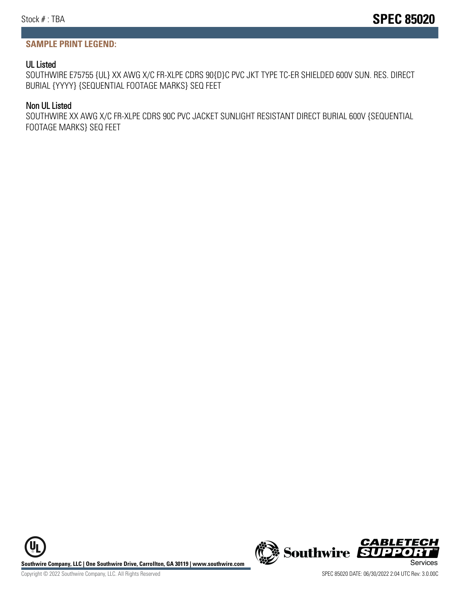### **SAMPLE PRINT LEGEND:**

#### UL Listed

SOUTHWIRE E75755 {UL} XX AWG X/C FR-XLPE CDRS 90{D}C PVC JKT TYPE TC-ER SHIELDED 600V SUN. RES. DIRECT BURIAL {YYYY} {SEQUENTIAL FOOTAGE MARKS} SEQ FEET

#### Non UL Listed

SOUTHWIRE XX AWG X/C FR-XLPE CDRS 90C PVC JACKET SUNLIGHT RESISTANT DIRECT BURIAL 600V {SEQUENTIAL FOOTAGE MARKS} SEQ FEET